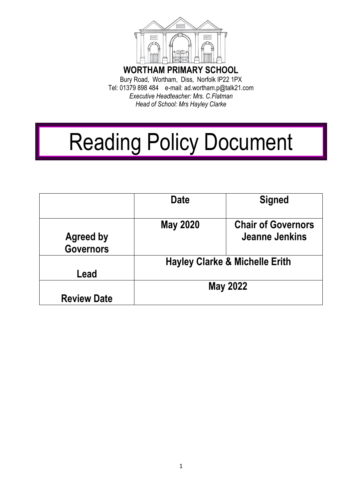

Tel: 01379 898 484 e-mail: ad.wortham.p@talk21.com *Executive Headteacher: Mrs. C.Flatman Head of School: Mrs Hayley Clarke* 

# Reading Policy Document

|                                      | <b>Date</b>                               | <b>Signed</b>                               |
|--------------------------------------|-------------------------------------------|---------------------------------------------|
| <b>Agreed by</b><br><b>Governors</b> | <b>May 2020</b>                           | <b>Chair of Governors</b><br>Jeanne Jenkins |
| Lead                                 | <b>Hayley Clarke &amp; Michelle Erith</b> |                                             |
| <b>Review Date</b>                   | <b>May 2022</b>                           |                                             |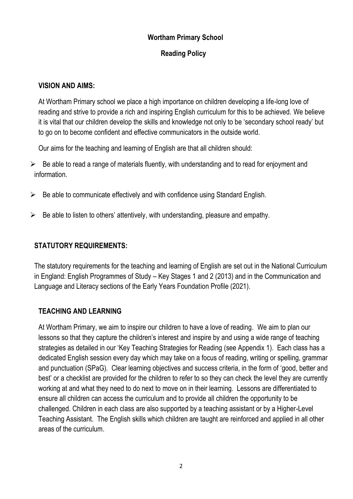#### **Wortham Primary School**

#### **Reading Policy**

#### **VISION AND AIMS:**

At Wortham Primary school we place a high importance on children developing a life-long love of reading and strive to provide a rich and inspiring English curriculum for this to be achieved. We believe it is vital that our children develop the skills and knowledge not only to be 'secondary school ready' but to go on to become confident and effective communicators in the outside world.

Our aims for the teaching and learning of English are that all children should:

- $\triangleright$  Be able to read a range of materials fluently, with understanding and to read for enjoyment and information.
- $\triangleright$  Be able to communicate effectively and with confidence using Standard English.
- $\triangleright$  Be able to listen to others' attentively, with understanding, pleasure and empathy.

#### **STATUTORY REQUIREMENTS:**

The statutory requirements for the teaching and learning of English are set out in the National Curriculum in England: English Programmes of Study – Key Stages 1 and 2 (2013) and in the Communication and Language and Literacy sections of the Early Years Foundation Profile (2021).

#### **TEACHING AND LEARNING**

At Wortham Primary, we aim to inspire our children to have a love of reading. We aim to plan our lessons so that they capture the children's interest and inspire by and using a wide range of teaching strategies as detailed in our 'Key Teaching Strategies for Reading (see Appendix 1). Each class has a dedicated English session every day which may take on a focus of reading, writing or spelling, grammar and punctuation (SPaG). Clear learning objectives and success criteria, in the form of 'good, better and best' or a checklist are provided for the children to refer to so they can check the level they are currently working at and what they need to do next to move on in their learning. Lessons are differentiated to ensure all children can access the curriculum and to provide all children the opportunity to be challenged. Children in each class are also supported by a teaching assistant or by a Higher-Level Teaching Assistant. The English skills which children are taught are reinforced and applied in all other areas of the curriculum.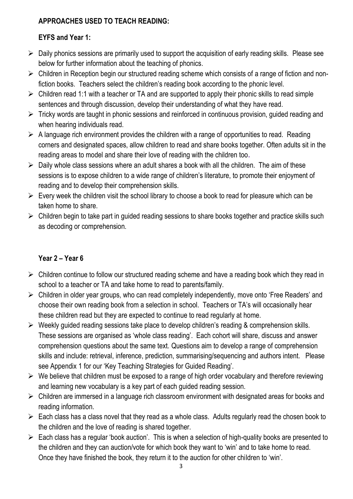# **APPROACHES USED TO TEACH READING:**

# **EYFS and Year 1:**

- $\triangleright$  Daily phonics sessions are primarily used to support the acquisition of early reading skills. Please see below for further information about the teaching of phonics.
- $\triangleright$  Children in Reception begin our structured reading scheme which consists of a range of fiction and nonfiction books. Teachers select the children's reading book according to the phonic level.
- $\triangleright$  Children read 1:1 with a teacher or TA and are supported to apply their phonic skills to read simple sentences and through discussion, develop their understanding of what they have read.
- $\triangleright$  Tricky words are taught in phonic sessions and reinforced in continuous provision, guided reading and when hearing individuals read.
- $\triangleright$  A language rich environment provides the children with a range of opportunities to read. Reading corners and designated spaces, allow children to read and share books together. Often adults sit in the reading areas to model and share their love of reading with the children too**.**
- $\triangleright$  Daily whole class sessions where an adult shares a book with all the children. The aim of these sessions is to expose children to a wide range of children's literature, to promote their enjoyment of reading and to develop their comprehension skills.
- $\triangleright$  Every week the children visit the school library to choose a book to read for pleasure which can be taken home to share.
- $\triangleright$  Children begin to take part in guided reading sessions to share books together and practice skills such as decoding or comprehension.

# **Year 2 – Year 6**

- $\triangleright$  Children continue to follow our structured reading scheme and have a reading book which they read in school to a teacher or TA and take home to read to parents/family.
- $\triangleright$  Children in older year groups, who can read completely independently, move onto 'Free Readers' and choose their own reading book from a selection in school. Teachers or TA's will occasionally hear these children read but they are expected to continue to read regularly at home.
- $\triangleright$  Weekly guided reading sessions take place to develop children's reading & comprehension skills. These sessions are organised as 'whole class reading'. Each cohort will share, discuss and answer comprehension questions about the same text. Questions aim to develop a range of comprehension skills and include: retrieval, inference, prediction, summarising/sequencing and authors intent. Please see Appendix 1 for our 'Key Teaching Strategies for Guided Reading'.
- $\triangleright$  We believe that children must be exposed to a range of high order vocabulary and therefore reviewing and learning new vocabulary is a key part of each guided reading session.
- $\triangleright$  Children are immersed in a language rich classroom environment with designated areas for books and reading information.
- $\triangleright$  Each class has a class novel that they read as a whole class. Adults regularly read the chosen book to the children and the love of reading is shared together.
- $\triangleright$  Each class has a regular 'book auction'. This is when a selection of high-quality books are presented to the children and they can auction/vote for which book they want to 'win' and to take home to read. Once they have finished the book, they return it to the auction for other children to 'win'.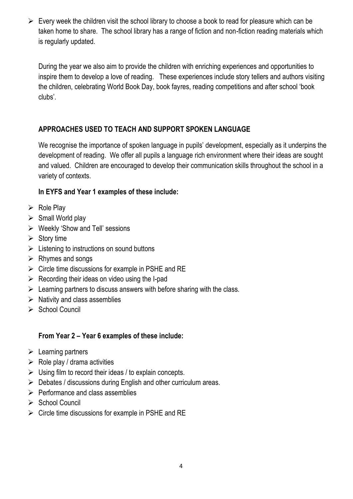$\triangleright$  Every week the children visit the school library to choose a book to read for pleasure which can be taken home to share. The school library has a range of fiction and non-fiction reading materials which is regularly updated.

During the year we also aim to provide the children with enriching experiences and opportunities to inspire them to develop a love of reading. These experiences include story tellers and authors visiting the children, celebrating World Book Day, book fayres, reading competitions and after school 'book clubs'.

# **APPROACHES USED TO TEACH AND SUPPORT SPOKEN LANGUAGE**

We recognise the importance of spoken language in pupils' development, especially as it underpins the development of reading. We offer all pupils a language rich environment where their ideas are sought and valued. Children are encouraged to develop their communication skills throughout the school in a variety of contexts.

# **In EYFS and Year 1 examples of these include:**

- $\triangleright$  Role Play
- $\triangleright$  Small World play
- $\triangleright$  Weekly 'Show and Tell' sessions
- $\triangleright$  Story time
- $\triangleright$  Listening to instructions on sound buttons
- $\triangleright$  Rhymes and songs
- $\triangleright$  Circle time discussions for example in PSHE and RE
- $\triangleright$  Recording their ideas on video using the I-pad
- $\triangleright$  Learning partners to discuss answers with before sharing with the class.
- $\triangleright$  Nativity and class assemblies
- $\triangleright$  School Council

# **From Year 2 – Year 6 examples of these include:**

- $\triangleright$  Learning partners
- $\triangleright$  Role play / drama activities
- $\triangleright$  Using film to record their ideas / to explain concepts.
- $\triangleright$  Debates / discussions during English and other curriculum areas.
- $\triangleright$  Performance and class assemblies
- $\triangleright$  School Council
- $\triangleright$  Circle time discussions for example in PSHE and RE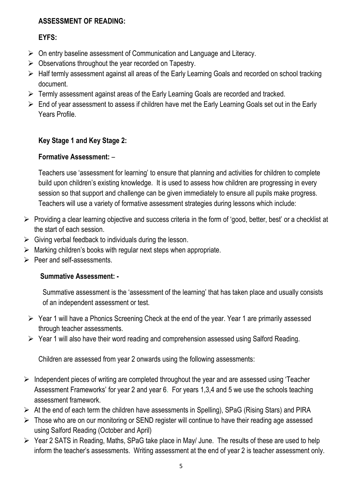#### **ASSESSMENT OF READING:**

#### **EYFS:**

- $\triangleright$  On entry baseline assessment of Communication and Language and Literacy.
- $\triangleright$  Observations throughout the year recorded on Tapestry.
- Half termly assessment against all areas of the Early Learning Goals and recorded on school tracking document.
- Fermly assessment against areas of the Early Learning Goals are recorded and tracked.
- $\triangleright$  End of year assessment to assess if children have met the Early Learning Goals set out in the Early Years Profile.

# **Key Stage 1 and Key Stage 2:**

# **Formative Assessment:** –

Teachers use 'assessment for learning' to ensure that planning and activities for children to complete build upon children's existing knowledge. It is used to assess how children are progressing in every session so that support and challenge can be given immediately to ensure all pupils make progress. Teachers will use a variety of formative assessment strategies during lessons which include:

- $\triangleright$  Providing a clear learning objective and success criteria in the form of 'good, better, best' or a checklist at the start of each session.
- $\triangleright$  Giving verbal feedback to individuals during the lesson.
- $\triangleright$  Marking children's books with regular next steps when appropriate.
- $\triangleright$  Peer and self-assessments.

# **Summative Assessment: -**

Summative assessment is the 'assessment of the learning' that has taken place and usually consists of an independent assessment or test.

- $\triangleright$  Year 1 will have a Phonics Screening Check at the end of the year. Year 1 are primarily assessed through teacher assessments.
- Year 1 will also have their word reading and comprehension assessed using Salford Reading.

Children are assessed from year 2 onwards using the following assessments:

- $\triangleright$  Independent pieces of writing are completed throughout the year and are assessed using 'Teacher' Assessment Frameworks' for year 2 and year 6. For years 1,3,4 and 5 we use the schools teaching assessment framework.
- $\triangleright$  At the end of each term the children have assessments in Spelling), SPaG (Rising Stars) and PIRA
- > Those who are on our monitoring or SEND register will continue to have their reading age assessed using Salford Reading (October and April)
- Year 2 SATS in Reading, Maths, SPaG take place in May/ June. The results of these are used to help inform the teacher's assessments. Writing assessment at the end of year 2 is teacher assessment only.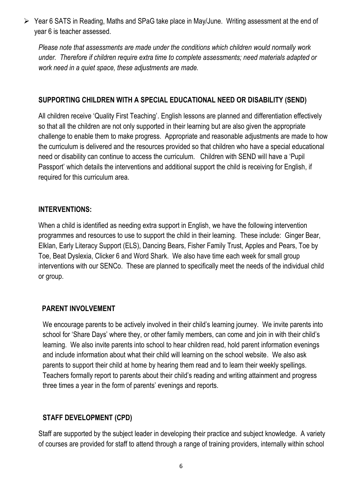Year 6 SATS in Reading, Maths and SPaG take place in May/June. Writing assessment at the end of year 6 is teacher assessed.

*Please note that assessments are made under the conditions which children would normally work under. Therefore if children require extra time to complete assessments; need materials adapted or work need in a quiet space, these adjustments are made.* 

#### **SUPPORTING CHILDREN WITH A SPECIAL EDUCATIONAL NEED OR DISABILITY (SEND)**

All children receive 'Quality First Teaching'. English lessons are planned and differentiation effectively so that all the children are not only supported in their learning but are also given the appropriate challenge to enable them to make progress. Appropriate and reasonable adjustments are made to how the curriculum is delivered and the resources provided so that children who have a special educational need or disability can continue to access the curriculum. Children with SEND will have a 'Pupil Passport' which details the interventions and additional support the child is receiving for English, if required for this curriculum area.

#### **INTERVENTIONS:**

When a child is identified as needing extra support in English, we have the following intervention programmes and resources to use to support the child in their learning. These include: Ginger Bear, Elklan, Early Literacy Support (ELS), Dancing Bears, Fisher Family Trust, Apples and Pears, Toe by Toe, Beat Dyslexia, Clicker 6 and Word Shark. We also have time each week for small group interventions with our SENCo. These are planned to specifically meet the needs of the individual child or group.

#### **PARENT INVOLVEMENT**

We encourage parents to be actively involved in their child's learning journey. We invite parents into school for 'Share Days' where they, or other family members, can come and join in with their child's learning. We also invite parents into school to hear children read, hold parent information evenings and include information about what their child will learning on the school website. We also ask parents to support their child at home by hearing them read and to learn their weekly spellings. Teachers formally report to parents about their child's reading and writing attainment and progress three times a year in the form of parents' evenings and reports.

# **STAFF DEVELOPMENT (CPD)**

Staff are supported by the subject leader in developing their practice and subject knowledge. A variety of courses are provided for staff to attend through a range of training providers, internally within school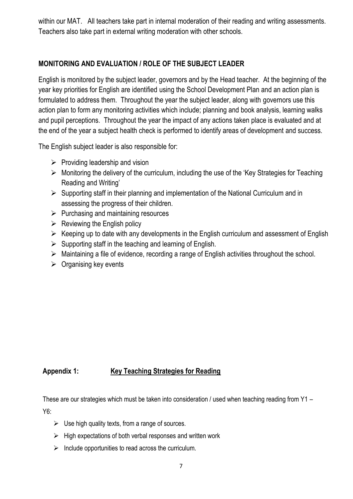within our MAT. All teachers take part in internal moderation of their reading and writing assessments. Teachers also take part in external writing moderation with other schools.

#### **MONITORING AND EVALUATION / ROLE OF THE SUBJECT LEADER**

English is monitored by the subject leader, governors and by the Head teacher. At the beginning of the year key priorities for English are identified using the School Development Plan and an action plan is formulated to address them. Throughout the year the subject leader, along with governors use this action plan to form any monitoring activities which include; planning and book analysis, learning walks and pupil perceptions. Throughout the year the impact of any actions taken place is evaluated and at the end of the year a subject health check is performed to identify areas of development and success.

The English subject leader is also responsible for:

- $\triangleright$  Providing leadership and vision
- $\triangleright$  Monitoring the delivery of the curriculum, including the use of the 'Key Strategies for Teaching Reading and Writing'
- $\triangleright$  Supporting staff in their planning and implementation of the National Curriculum and in assessing the progress of their children.
- $\triangleright$  Purchasing and maintaining resources
- $\triangleright$  Reviewing the English policy
- $\triangleright$  Keeping up to date with any developments in the English curriculum and assessment of English
- $\triangleright$  Supporting staff in the teaching and learning of English.
- $\triangleright$  Maintaining a file of evidence, recording a range of English activities throughout the school.
- $\triangleright$  Organising key events

# **Appendix 1: Key Teaching Strategies for Reading**

These are our strategies which must be taken into consideration / used when teaching reading from Y1 – Y6:

- $\triangleright$  Use high quality texts, from a range of sources.
- $\triangleright$  High expectations of both verbal responses and written work
- $\triangleright$  Include opportunities to read across the curriculum.